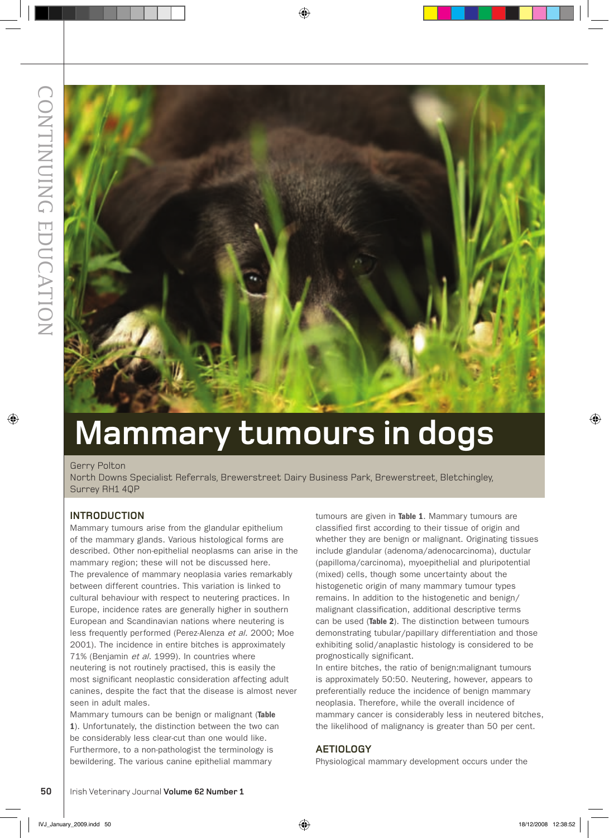

# **Mammary tumours in dogs**

#### Gerry Polton

North Downs Specialist Referrals, Brewerstreet Dairy Business Park, Brewerstreet, Bletchingley, Surrey RH1 4QP

#### **Introduction**

Mammary tumours arise from the glandular epithelium of the mammary glands. Various histological forms are described. Other non-epithelial neoplasms can arise in the mammary region; these will not be discussed here. The prevalence of mammary neoplasia varies remarkably between different countries. This variation is linked to cultural behaviour with respect to neutering practices. In Europe, incidence rates are generally higher in southern European and Scandinavian nations where neutering is less frequently performed (Perez-Alenza et al. 2000; Moe 2001). The incidence in entire bitches is approximately 71% (Benjamin et al. 1999). In countries where neutering is not routinely practised, this is easily the most significant neoplastic consideration affecting adult canines, despite the fact that the disease is almost never seen in adult males.

Mammary tumours can be benign or malignant (Table 1). Unfortunately, the distinction between the two can be considerably less clear-cut than one would like. Furthermore, to a non-pathologist the terminology is bewildering. The various canine epithelial mammary

tumours are given in Table 1. Mammary tumours are classified first according to their tissue of origin and whether they are benign or malignant. Originating tissues include glandular (adenoma/adenocarcinoma), ductular (papilloma/carcinoma), myoepithelial and pluripotential (mixed) cells, though some uncertainty about the histogenetic origin of many mammary tumour types remains. In addition to the histogenetic and benign/ malignant classification, additional descriptive terms can be used (Table 2). The distinction between tumours demonstrating tubular/papillary differentiation and those exhibiting solid/anaplastic histology is considered to be prognostically significant.

In entire bitches, the ratio of benign:malignant tumours is approximately 50:50. Neutering, however, appears to preferentially reduce the incidence of benign mammary neoplasia. Therefore, while the overall incidence of mammary cancer is considerably less in neutered bitches, the likelihood of malignancy is greater than 50 per cent.

#### **Aetiology**

Physiological mammary development occurs under the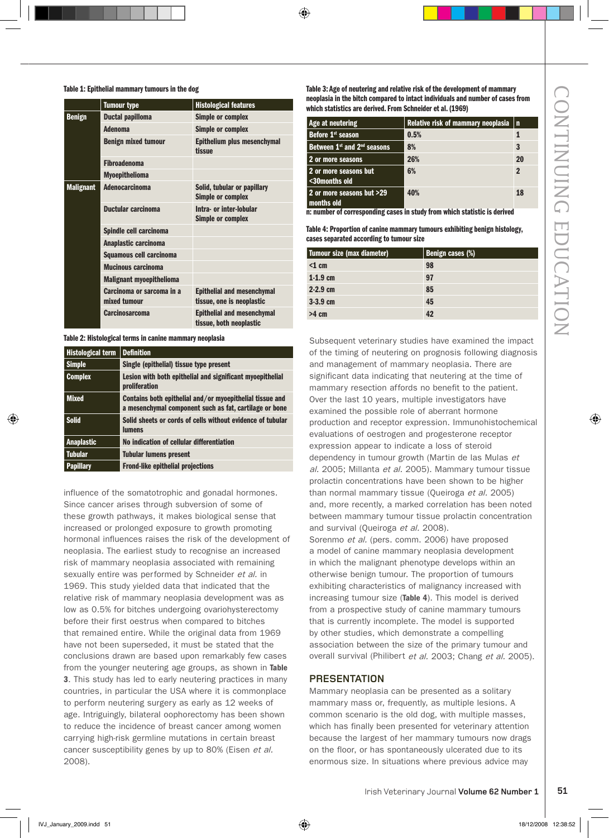#### Table 1: Epithelial mammary tumours in the dog

|                  | <b>Tumour type</b>                        | <b>Histological features</b>                                   |
|------------------|-------------------------------------------|----------------------------------------------------------------|
| <b>Benign</b>    | <b>Ductal papilloma</b>                   | <b>Simple or complex</b>                                       |
|                  | <b>Adenoma</b>                            | <b>Simple or complex</b>                                       |
|                  | <b>Benign mixed tumour</b>                | Epithelium plus mesenchymal<br>tissue                          |
|                  | <b>Fibroadenoma</b>                       |                                                                |
|                  | <b>Myoepithelioma</b>                     |                                                                |
| <b>Malignant</b> | <b>Adenocarcinoma</b>                     | Solid, tubular or papillary<br><b>Simple or complex</b>        |
|                  | Ductular carcinoma                        | Intra- or inter-lobular<br><b>Simple or complex</b>            |
|                  | Spindle cell carcinoma                    |                                                                |
|                  | Anaplastic carcinoma                      |                                                                |
|                  | Squamous cell carcinoma                   |                                                                |
|                  | <b>Mucinous carcinoma</b>                 |                                                                |
|                  | <b>Malignant myoepithelioma</b>           |                                                                |
|                  | Carcinoma or sarcoma in a<br>mixed tumour | <b>Epithelial and mesenchymal</b><br>tissue, one is neoplastic |
|                  | <b>Carcinosarcoma</b>                     | <b>Epithelial and mesenchymal</b><br>tissue, both neoplastic   |

Table 2: Histological terms in canine mammary neoplasia

| <b>Histological term</b> | <b>Definition</b>                                                                                                  |
|--------------------------|--------------------------------------------------------------------------------------------------------------------|
| <b>Simple</b>            | Single (epithelial) tissue type present                                                                            |
| <b>Complex</b>           | Lesion with both epithelial and significant myoepithelial<br>proliferation                                         |
| <b>Mixed</b>             | Contains both epithelial and/or myoepithelial tissue and<br>a mesenchymal component such as fat, cartilage or bone |
| <b>Solid</b>             | Solid sheets or cords of cells without evidence of tubular<br><b>lumens</b>                                        |
| <b>Anaplastic</b>        | No indication of cellular differentiation                                                                          |
| <b>Tubular</b>           | <b>Tubular lumens present</b>                                                                                      |
| <b>Papillary</b>         | <b>Frond-like epithelial projections</b>                                                                           |

influence of the somatotrophic and gonadal hormones. Since cancer arises through subversion of some of these growth pathways, it makes biological sense that increased or prolonged exposure to growth promoting hormonal influences raises the risk of the development of neoplasia. The earliest study to recognise an increased risk of mammary neoplasia associated with remaining sexually entire was performed by Schneider et al. in 1969. This study yielded data that indicated that the relative risk of mammary neoplasia development was as low as 0.5% for bitches undergoing ovariohysterectomy before their first oestrus when compared to bitches that remained entire. While the original data from 1969 have not been superseded, it must be stated that the conclusions drawn are based upon remarkably few cases from the younger neutering age groups, as shown in Table 3. This study has led to early neutering practices in many countries, in particular the USA where it is commonplace to perform neutering surgery as early as 12 weeks of age. Intriguingly, bilateral oophorectomy has been shown to reduce the incidence of breast cancer among women carrying high-risk germline mutations in certain breast cancer susceptibility genes by up to 80% (Eisen et al. 2008).

Table 3: Age of neutering and relative risk of the development of mammary neoplasia in the bitch compared to intact individuals and number of cases from which statistics are derived. From Schneider et al. (1969)

| Age at neutering                        | Relative risk of mammary neoplasia $ n\rangle$ |    |
|-----------------------------------------|------------------------------------------------|----|
| Before 1 <sup>st</sup> season           | 0.5%                                           |    |
| Between $1^{st}$ and $2^{nd}$ seasons   | 8%                                             | 3  |
| 2 or more seasons                       | 26%                                            | 20 |
| 2 or more seasons but<br><30months old  | 6%                                             | 2  |
| 2 or more seasons but >29<br>months old | 40%                                            | 18 |

n: number of corresponding cases in study from which statistic is derived

Table 4: Proportion of canine mammary tumours exhibiting benign histology, cases separated according to tumour size

| Tumour size (max diameter) | Benign cases (%) |
|----------------------------|------------------|
| $<$ 1 cm                   | 98               |
| $1-1.9$ cm                 | 97               |
| $2 - 2.9$ cm               | 85               |
| $3-3.9$ cm                 | 45               |
| $>4$ cm                    | 42               |

Subsequent veterinary studies have examined the impact of the timing of neutering on prognosis following diagnosis and management of mammary neoplasia. There are significant data indicating that neutering at the time of mammary resection affords no benefit to the patient. Over the last 10 years, multiple investigators have examined the possible role of aberrant hormone production and receptor expression. Immunohistochemical evaluations of oestrogen and progesterone receptor expression appear to indicate a loss of steroid dependency in tumour growth (Martin de las Mulas et al. 2005; Millanta et al. 2005). Mammary tumour tissue prolactin concentrations have been shown to be higher than normal mammary tissue (Queiroga et al. 2005) and, more recently, a marked correlation has been noted between mammary tumour tissue prolactin concentration and survival (Queiroga et al. 2008). Sorenmo et al. (pers. comm. 2006) have proposed a model of canine mammary neoplasia development in which the malignant phenotype develops within an

otherwise benign tumour. The proportion of tumours exhibiting characteristics of malignancy increased with increasing tumour size (Table 4). This model is derived from a prospective study of canine mammary tumours that is currently incomplete. The model is supported by other studies, which demonstrate a compelling association between the size of the primary tumour and overall survival (Philibert et al. 2003; Chang et al. 2005).

#### **Presentation**

Mammary neoplasia can be presented as a solitary mammary mass or, frequently, as multiple lesions. A common scenario is the old dog, with multiple masses, which has finally been presented for veterinary attention because the largest of her mammary tumours now drags on the floor, or has spontaneously ulcerated due to its enormous size. In situations where previous advice may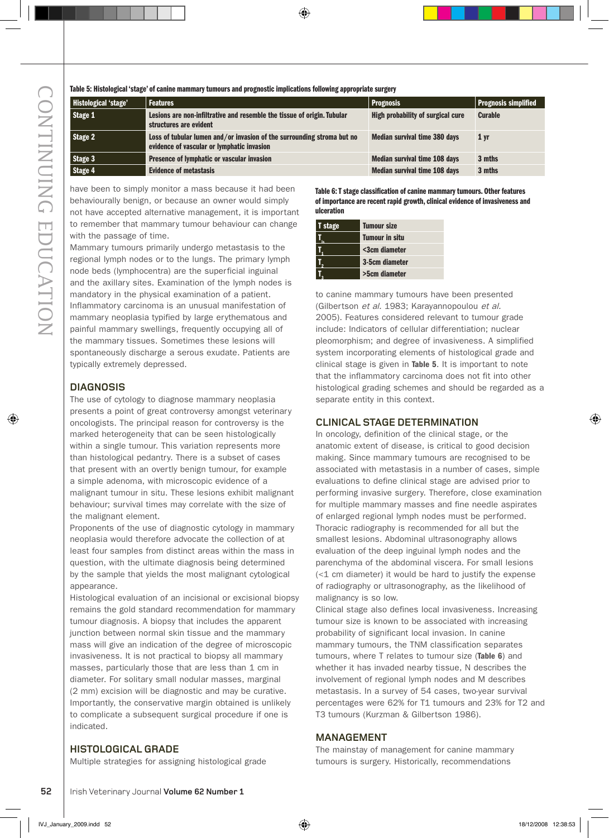| Table 5: Histological 'stage' of canine mammary tumours and prognostic implications following appropriate surgery |                                                                                                                      |                                      |                      |
|-------------------------------------------------------------------------------------------------------------------|----------------------------------------------------------------------------------------------------------------------|--------------------------------------|----------------------|
| <b>Histological 'stage'</b>                                                                                       | <b>Features</b>                                                                                                      | <b>Prognosis</b>                     | Prognosis simplified |
| Stage 1                                                                                                           | Lesions are non-infiltrative and resemble the tissue of origin. Tubular<br>structures are evident                    | High probability of surgical cure    | <b>Curable</b>       |
| Stage 2                                                                                                           | Loss of tubular lumen and/or invasion of the surrounding stroma but no<br>evidence of vascular or lymphatic invasion | <b>Median survival time 380 days</b> | 1 <sub>yr</sub>      |
| Stage 3                                                                                                           | Presence of lymphatic or vascular invasion                                                                           | <b>Median survival time 108 days</b> | 3 mths               |
| Stage 4                                                                                                           | <b>Evidence of metastasis</b>                                                                                        | <b>Median survival time 108 days</b> | 3 mths               |

have been to simply monitor a mass because it had been behaviourally benign, or because an owner would simply not have accepted alternative management, it is important to remember that mammary tumour behaviour can change with the passage of time.

Mammary tumours primarily undergo metastasis to the regional lymph nodes or to the lungs. The primary lymph node beds (lymphocentra) are the superficial inguinal and the axillary sites. Examination of the lymph nodes is mandatory in the physical examination of a patient. Inflammatory carcinoma is an unusual manifestation of mammary neoplasia typified by large erythematous and painful mammary swellings, frequently occupying all of the mammary tissues. Sometimes these lesions will spontaneously discharge a serous exudate. Patients are typically extremely depressed.

#### **Diagnosis**

The use of cytology to diagnose mammary neoplasia presents a point of great controversy amongst veterinary oncologists. The principal reason for controversy is the marked heterogeneity that can be seen histologically within a single tumour. This variation represents more than histological pedantry. There is a subset of cases that present with an overtly benign tumour, for example a simple adenoma, with microscopic evidence of a malignant tumour in situ. These lesions exhibit malignant behaviour; survival times may correlate with the size of the malignant element.

Proponents of the use of diagnostic cytology in mammary neoplasia would therefore advocate the collection of at least four samples from distinct areas within the mass in question, with the ultimate diagnosis being determined by the sample that yields the most malignant cytological appearance.

**EXERC CONSERC SECT THE CONSERC SECT THE CONSERCT IN THE CONSERCT THE CONSERCT THE CONSERCT THE CONSERCT THE CONSERCT THE CONSERCT THE THE CONSERCT THE THE CONSERCT THE THE CONSERCT THE CONSERCT THE CONSERCT THE CONSERCT T** Histological evaluation of an incisional or excisional biopsy remains the gold standard recommendation for mammary tumour diagnosis. A biopsy that includes the apparent junction between normal skin tissue and the mammary mass will give an indication of the degree of microscopic invasiveness. It is not practical to biopsy all mammary masses, particularly those that are less than 1 cm in diameter. For solitary small nodular masses, marginal (2 mm) excision will be diagnostic and may be curative. Importantly, the conservative margin obtained is unlikely to complicate a subsequent surgical procedure if one is indicated.

#### Table 6: T stage classification of canine mammary tumours. Other features of importance are recent rapid growth, clinical evidence of invasiveness and ulceration

| <b>T</b> stage | <b>Tumour size</b>    |
|----------------|-----------------------|
|                | <b>Tumour in situ</b> |
|                | <3cm diameter         |
|                | 3-5cm diameter        |
|                | >5cm diameter         |
|                |                       |

to canine mammary tumours have been presented (Gilbertson et al. 1983; Karayannopoulou et al. 2005). Features considered relevant to tumour grade include: Indicators of cellular differentiation; nuclear pleomorphism; and degree of invasiveness. A simplified system incorporating elements of histological grade and clinical stage is given in Table 5. It is important to note that the inflammatory carcinoma does not fit into other histological grading schemes and should be regarded as a separate entity in this context.

#### **Clinical stage determination**

In oncology, definition of the clinical stage, or the anatomic extent of disease, is critical to good decision making. Since mammary tumours are recognised to be associated with metastasis in a number of cases, simple evaluations to define clinical stage are advised prior to performing invasive surgery. Therefore, close examination for multiple mammary masses and fine needle aspirates of enlarged regional lymph nodes must be performed. Thoracic radiography is recommended for all but the smallest lesions. Abdominal ultrasonography allows evaluation of the deep inguinal lymph nodes and the parenchyma of the abdominal viscera. For small lesions (<1 cm diameter) it would be hard to justify the expense of radiography or ultrasonography, as the likelihood of malignancy is so low.

Clinical stage also defines local invasiveness. Increasing tumour size is known to be associated with increasing probability of significant local invasion. In canine mammary tumours, the TNM classification separates tumours, where T relates to tumour size (Table 6) and whether it has invaded nearby tissue, N describes the involvement of regional lymph nodes and M describes metastasis. In a survey of 54 cases, two-year survival percentages were 62% for T1 tumours and 23% for T2 and T3 tumours (Kurzman & Gilbertson 1986).

#### **Management**

#### **Histological grade**

Multiple strategies for assigning histological grade

The mainstay of management for canine mammary tumours is surgery. Historically, recommendations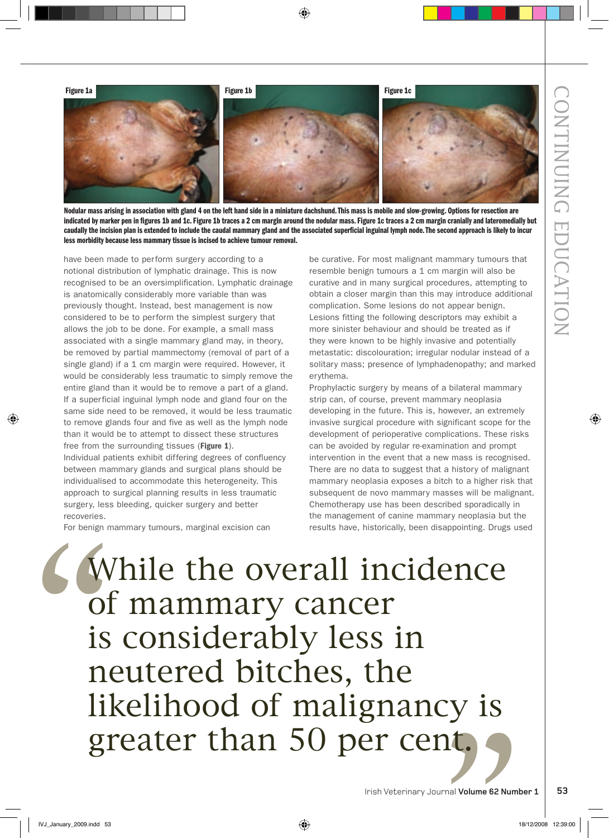

Nodular mass arising in association with gland 4 on the left hand side in a miniature dachshund. This mass is mobile and slow-growing. Options for resection are indicated by marker pen in figures 1b and 1c. Figure 1b traces a 2 cm margin around the nodular mass. Figure 1c traces a 2 cm margin cranially and lateromedially but caudally the incision plan is extended to include the caudal mammary gland and the associated superficial inguinal lymph node. The second approach is likely to incur less morbidity because less mammary tissue is incised to achieve tumour removal.

have been made to perform surgery according to a notional distribution of lymphatic drainage. This is now recognised to be an oversimplification. Lymphatic drainage is anatomically considerably more variable than was previously thought. Instead, best management is now considered to be to perform the simplest surgery that allows the job to be done. For example, a small mass associated with a single mammary gland may, in theory, be removed by partial mammectomy (removal of part of a single gland) if a 1 cm margin were required. However, it would be considerably less traumatic to simply remove the entire gland than it would be to remove a part of a gland. If a superficial inguinal lymph node and gland four on the same side need to be removed, it would be less traumatic to remove glands four and five as well as the lymph node than it would be to attempt to dissect these structures free from the surrounding tissues (Figure 1).

Individual patients exhibit differing degrees of confluency between mammary glands and surgical plans should be individualised to accommodate this heterogeneity. This approach to surgical planning results in less traumatic surgery, less bleeding, quicker surgery and better recoveries.

For benign mammary tumours, marginal excision can

be curative. For most malignant mammary tumours that resemble benign tumours a 1 cm margin will also be curative and in many surgical procedures, attempting to obtain a closer margin than this may introduce additional complication. Some lesions do not appear benign. Lesions fitting the following descriptors may exhibit a more sinister behaviour and should be treated as if they were known to be highly invasive and potentially metastatic: discolouration; irregular nodular instead of a solitary mass; presence of lymphadenopathy; and marked erythema.

Prophylactic surgery by means of a bilateral mammary strip can, of course, prevent mammary neoplasia developing in the future. This is, however, an extremely invasive surgical procedure with significant scope for the development of perioperative complications. These risks can be avoided by regular re-examination and prompt intervention in the event that a new mass is recognised. There are no data to suggest that a history of malignant mammary neoplasia exposes a bitch to a higher risk that subsequent de novo mammary masses will be malignant. Chemotherapy use has been described sporadically in the management of canine mammary neoplasia but the results have, historically, been disappointing. Drugs used

# y is<br>59 U<br>
Of<br>
is<br>
is<br>
ne<br>
lil While the overall incidence of mammary cancer is considerably less in neutered bitches, the likelihood of malignancy is greater than 50 per cent.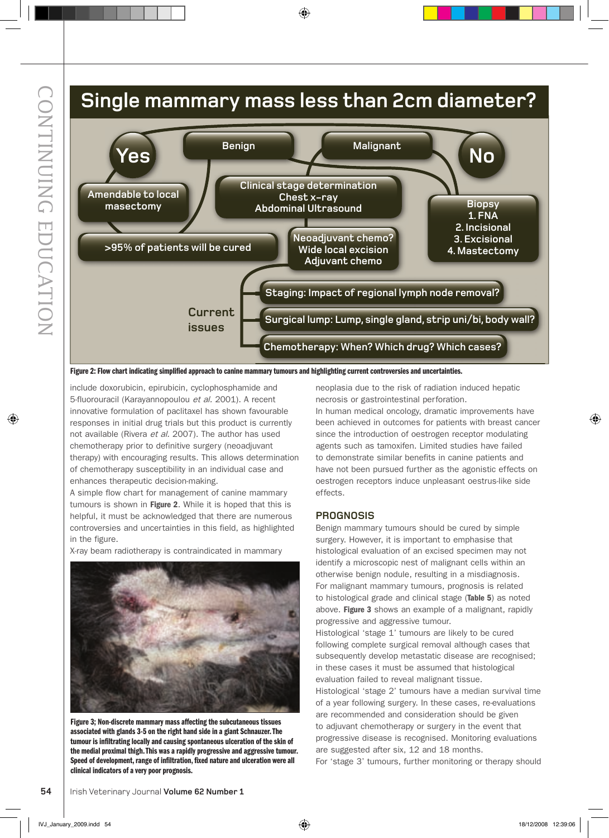### **single mammary mass less than 2cm diameter?**



Figure 2: Flow chart indicating simplified approach to canine mammary tumours and highlighting current controversies and uncertainties.

include doxorubicin, epirubicin, cyclophosphamide and 5-fluorouracil (Karayannopoulou et al. 2001). A recent innovative formulation of paclitaxel has shown favourable responses in initial drug trials but this product is currently not available (Rivera et al. 2007). The author has used chemotherapy prior to definitive surgery (neoadjuvant therapy) with encouraging results. This allows determination of chemotherapy susceptibility in an individual case and enhances therapeutic decision-making.

A simple flow chart for management of canine mammary tumours is shown in Figure 2. While it is hoped that this is helpful, it must be acknowledged that there are numerous controversies and uncertainties in this field, as highlighted in the figure.

X-ray beam radiotherapy is contraindicated in mammary



Figure 3; Non-discrete mammary mass affecting the subcutaneous tissues associated with glands 3-5 on the right hand side in a giant Schnauzer. The tumour is infiltrating locally and causing spontaneous ulceration of the skin of the medial proximal thigh. This was a rapidly progressive and aggressive tumour. Speed of development, range of infiltration, fixed nature and ulceration were all clinical indicators of a very poor prognosis.

neoplasia due to the risk of radiation induced hepatic necrosis or gastrointestinal perforation. In human medical oncology, dramatic improvements have been achieved in outcomes for patients with breast cancer since the introduction of oestrogen receptor modulating agents such as tamoxifen. Limited studies have failed to demonstrate similar benefits in canine patients and have not been pursued further as the agonistic effects on oestrogen receptors induce unpleasant oestrus-like side effects.

#### **proGNosis**

Benign mammary tumours should be cured by simple surgery. However, it is important to emphasise that histological evaluation of an excised specimen may not identify a microscopic nest of malignant cells within an otherwise benign nodule, resulting in a misdiagnosis. For malignant mammary tumours, prognosis is related to histological grade and clinical stage (Table 5) as noted above. Figure 3 shows an example of a malignant, rapidly progressive and aggressive tumour.

Histological 'stage 1' tumours are likely to be cured following complete surgical removal although cases that subsequently develop metastatic disease are recognised; in these cases it must be assumed that histological evaluation failed to reveal malignant tissue.

Histological 'stage 2' tumours have a median survival time of a year following surgery. In these cases, re-evaluations are recommended and consideration should be given to adjuvant chemotherapy or surgery in the event that progressive disease is recognised. Monitoring evaluations are suggested after six, 12 and 18 months.

For 'stage 3' tumours, further monitoring or therapy should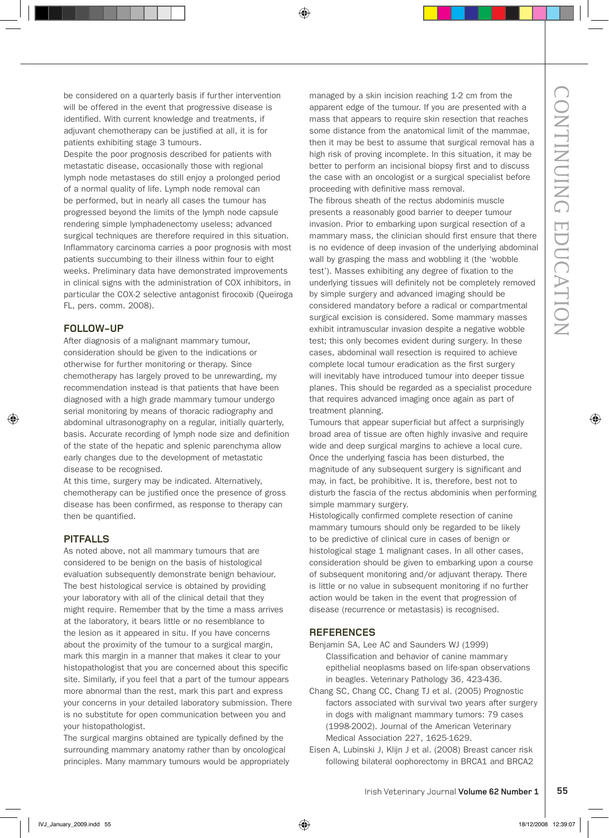be considered on a quarterly basis if further intervention will be offered in the event that progressive disease is identified. With current knowledge and treatments, if adjuvant chemotherapy can be justified at all, it is for patients exhibiting stage 3 tumours.

Despite the poor prognosis described for patients with metastatic disease, occasionally those with regional lymph node metastases do still enjoy a prolonged period of a normal quality of life. Lymph node removal can be performed, but in nearly all cases the tumour has progressed beyond the limits of the lymph node capsule rendering simple lymphadenectomy useless; advanced surgical techniques are therefore required in this situation. Inflammatory carcinoma carries a poor prognosis with most patients succumbing to their illness within four to eight weeks. Preliminary data have demonstrated improvements in clinical signs with the administration of COX inhibitors, in particular the COX-2 selective antagonist firocoxib (Queiroga FL, pers. comm. 2008).

#### **Follow-up**

After diagnosis of a malignant mammary tumour, consideration should be given to the indications or otherwise for further monitoring or therapy. Since chemotherapy has largely proved to be unrewarding, my recommendation instead is that patients that have been diagnosed with a high grade mammary tumour undergo serial monitoring by means of thoracic radiography and abdominal ultrasonography on a regular, initially quarterly, basis. Accurate recording of lymph node size and definition of the state of the hepatic and splenic parenchyma allow early changes due to the development of metastatic disease to be recognised.

At this time, surgery may be indicated. Alternatively, chemotherapy can be justified once the presence of gross disease has been confirmed, as response to therapy can then be quantified.

#### **Pitfalls**

As noted above, not all mammary tumours that are considered to be benign on the basis of histological evaluation subsequently demonstrate benign behaviour. The best histological service is obtained by providing your laboratory with all of the clinical detail that they might require. Remember that by the time a mass arrives at the laboratory, it bears little or no resemblance to the lesion as it appeared in situ. If you have concerns about the proximity of the tumour to a surgical margin, mark this margin in a manner that makes it clear to your histopathologist that you are concerned about this specific site. Similarly, if you feel that a part of the tumour appears more abnormal than the rest, mark this part and express your concerns in your detailed laboratory submission. There is no substitute for open communication between you and your histopathologist.

The surgical margins obtained are typically defined by the surrounding mammary anatomy rather than by oncological principles. Many mammary tumours would be appropriately managed by a skin incision reaching 1-2 cm from the apparent edge of the tumour. If you are presented with a mass that appears to require skin resection that reaches some distance from the anatomical limit of the mammae, then it may be best to assume that surgical removal has a high risk of proving incomplete. In this situation, it may be better to perform an incisional biopsy first and to discuss the case with an oncologist or a surgical specialist before proceeding with definitive mass removal.

The fibrous sheath of the rectus abdominis muscle presents a reasonably good barrier to deeper tumour invasion. Prior to embarking upon surgical resection of a mammary mass, the clinician should first ensure that there is no evidence of deep invasion of the underlying abdominal wall by grasping the mass and wobbling it (the 'wobble test'). Masses exhibiting any degree of fixation to the underlying tissues will definitely not be completely removed by simple surgery and advanced imaging should be considered mandatory before a radical or compartmental surgical excision is considered. Some mammary masses exhibit intramuscular invasion despite a negative wobble test; this only becomes evident during surgery. In these cases, abdominal wall resection is required to achieve complete local tumour eradication as the first surgery will inevitably have introduced tumour into deeper tissue planes. This should be regarded as a specialist procedure that requires advanced imaging once again as part of treatment planning.

Tumours that appear superficial but affect a surprisingly broad area of tissue are often highly invasive and require wide and deep surgical margins to achieve a local cure. Once the underlying fascia has been disturbed, the magnitude of any subsequent surgery is significant and may, in fact, be prohibitive. It is, therefore, best not to disturb the fascia of the rectus abdominis when performing simple mammary surgery.

Histologically confirmed complete resection of canine mammary tumours should only be regarded to be likely to be predictive of clinical cure in cases of benign or histological stage 1 malignant cases. In all other cases, consideration should be given to embarking upon a course of subsequent monitoring and/or adjuvant therapy. There is little or no value in subsequent monitoring if no further action would be taken in the event that progression of disease (recurrence or metastasis) is recognised.

#### **References**

- Benjamin SA, Lee AC and Saunders WJ (1999) Classification and behavior of canine mammary epithelial neoplasms based on life-span observations in beagles. Veterinary Pathology 36, 423-436.
- Chang SC, Chang CC, Chang TJ et al. (2005) Prognostic factors associated with survival two years after surgery in dogs with malignant mammary tumors: 79 cases (1998-2002). Journal of the American Veterinary Medical Association 227, 1625-1629.
- Eisen A, Lubinski J, Klijn J et al. (2008) Breast cancer risk following bilateral oophorectomy in BRCA1 and BRCA2